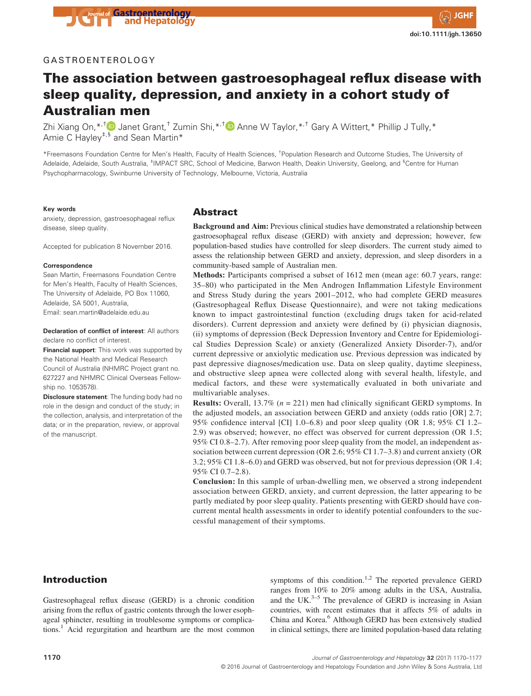### GASTROENTEROLOGY

# The association between gastroesophageal reflux disease with sleep quality, depression, and anxiety in a cohort study of Australian men

Zhi Xiang On, \*<sup>,†</sup> D Janet Grant,<sup>†</sup> Zumin Shi, \*<sup>,†</sup> D Anne W Taylor, \*<sup>,†</sup> Gary A Wittert, \* Phillip J Tully, \* Amie C Hayley<sup>‡,§</sup> and Sean Martin<sup>\*</sup>

\*Freemasons Foundation Centre for Men's Health, Faculty of Health Sciences, † Population Research and Outcome Studies, The University of Adelaide, Adelaide, South Australia, <sup>‡</sup>IMPACT SRC, School of Medicine, Barwon Health, Deakin University, Geelong, and <sup>§</sup>Centre for Human Psychopharmacology, Swinburne University of Technology, Melbourne, Victoria, Australia

#### Key words

anxiety, depression, gastroesophageal reflux disease, sleep quality.

Accepted for publication 8 November 2016.

#### **Correspondence**

Sean Martin, Freemasons Foundation Centre for Men's Health, Faculty of Health Sciences, The University of Adelaide, PO Box 11060, Adelaide, SA 5001, Australia, Email: sean.martin@adelaide.edu.au

Declaration of conflict of interest: All authors declare no conflict of interest.

**Financial support:** This work was supported by the National Health and Medical Research Council of Australia (NHMRC Project grant no. 627227 and NHMRC Clinical Overseas Fellowship no. 1053578).

Disclosure statement: The funding body had no role in the design and conduct of the study; in the collection, analysis, and interpretation of the data; or in the preparation, review, or approval of the manuscript.

#### Abstract

Background and Aim: Previous clinical studies have demonstrated a relationship between gastroesophageal reflux disease (GERD) with anxiety and depression; however, few population-based studies have controlled for sleep disorders. The current study aimed to assess the relationship between GERD and anxiety, depression, and sleep disorders in a community-based sample of Australian men.

Methods: Participants comprised a subset of 1612 men (mean age: 60.7 years, range: 35–80) who participated in the Men Androgen Inflammation Lifestyle Environment and Stress Study during the years 2001–2012, who had complete GERD measures (Gastresophageal Reflux Disease Questionnaire), and were not taking medications known to impact gastrointestinal function (excluding drugs taken for acid-related disorders). Current depression and anxiety were defined by (i) physician diagnosis, (ii) symptoms of depression (Beck Depression Inventory and Centre for Epidemiological Studies Depression Scale) or anxiety (Generalized Anxiety Disorder-7), and/or current depressive or anxiolytic medication use. Previous depression was indicated by past depressive diagnoses/medication use. Data on sleep quality, daytime sleepiness, and obstructive sleep apnea were collected along with several health, lifestyle, and medical factors, and these were systematically evaluated in both univariate and multivariable analyses.

**Results:** Overall,  $13.7\%$  ( $n = 221$ ) men had clinically significant GERD symptoms. In the adjusted models, an association between GERD and anxiety (odds ratio [OR] 2.7; 95% confidence interval [CI] 1.0–6.8) and poor sleep quality (OR 1.8; 95% CI 1.2– 2.9) was observed; however, no effect was observed for current depression (OR 1.5; 95% CI 0.8–2.7). After removing poor sleep quality from the model, an independent association between current depression (OR 2.6; 95% CI 1.7–3.8) and current anxiety (OR 3.2; 95% CI 1.8–6.0) and GERD was observed, but not for previous depression (OR 1.4; 95% CI 0.7–2.8).

Conclusion: In this sample of urban-dwelling men, we observed a strong independent association between GERD, anxiety, and current depression, the latter appearing to be partly mediated by poor sleep quality. Patients presenting with GERD should have concurrent mental health assessments in order to identify potential confounders to the successful management of their symptoms.

## Introduction

Gastresophageal reflux disease (GERD) is a chronic condition arising from the reflux of gastric contents through the lower esophageal sphincter, resulting in troublesome symptoms or complications.<sup>1</sup> Acid regurgitation and heartburn are the most common

symptoms of this condition.<sup>1,2</sup> The reported prevalence GERD ranges from 10% to 20% among adults in the USA, Australia, and the UK. $3-5$  The prevalence of GERD is increasing in Asian countries, with recent estimates that it affects 5% of adults in China and Korea.<sup>6</sup> Although GERD has been extensively studied in clinical settings, there are limited population-based data relating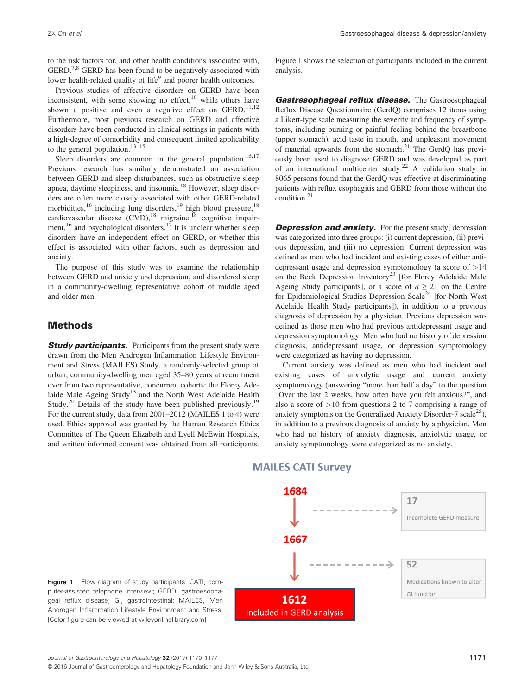to the risk factors for, and other health conditions associated with,  $GERD<sup>7,8</sup> GERD$  has been found to be negatively associated with lower health-related quality of life<sup>9</sup> and poorer health outcomes.

Previous studies of affective disorders on GERD have been inconsistent, with some showing no effect, $10$  while others have shown a positive and even a negative effect on GERD.<sup>11,12</sup> Furthermore, most previous research on GERD and affective disorders have been conducted in clinical settings in patients with a high-degree of comorbidity and consequent limited applicability to the general population.<sup>13–15</sup>

Sleep disorders are common in the general population.<sup>16,17</sup> Previous research has similarly demonstrated an association between GERD and sleep disturbances, such as obstructive sleep apnea, daytime sleepiness, and insomnia.<sup>18</sup> However, sleep disorders are often more closely associated with other GERD-related morbidities,<sup>16</sup> including lung disorders,<sup>19</sup> high blood pressure,<sup>18</sup> cardiovascular disease  $(CVD)$ ,<sup>18</sup> migraine,<sup>18</sup> cognitive impairment, <sup>16</sup> and psychological disorders.<sup>17</sup> It is unclear whether sleep disorders have an independent effect on GERD, or whether this effect is associated with other factors, such as depression and anxiety.

The purpose of this study was to examine the relationship between GERD and anxiety and depression, and disordered sleep in a community-dwelling representative cohort of middle aged and older men.

#### Methods

**Study participants.** Participants from the present study were drawn from the Men Androgen Inflammation Lifestyle Environment and Stress (MAILES) Study, a randomly-selected group of urban, community-dwelling men aged 35–80 years at recruitment over from two representative, concurrent cohorts: the Florey Adelaide Male Ageing Study<sup>15</sup> and the North West Adelaide Health Study.<sup>20</sup> Details of the study have been published previously.<sup>19</sup> For the current study, data from 2001–2012 (MAILES 1 to 4) were used. Ethics approval was granted by the Human Research Ethics Committee of The Queen Elizabeth and Lyell McEwin Hospitals, and written informed consent was obtained from all participants. Figure 1 shows the selection of participants included in the current analysis.

**Gastresophageal reflux disease.** The Gastroesophageal Reflux Disease Questionnaire (GerdQ) comprises 12 items using a Likert-type scale measuring the severity and frequency of symptoms, including burning or painful feeling behind the breastbone (upper stomach), acid taste in mouth, and unpleasant movement of material upwards from the stomach.<sup>21</sup> The GerdQ has previously been used to diagnose GERD and was developed as part of an international multicenter study.<sup>22</sup> A validation study in 8065 persons found that the GerdQ was effective at discriminating patients with reflux esophagitis and GERD from those without the condition.21

**Depression and anxiety.** For the present study, depression was categorized into three groups: (i) current depression, (ii) previous depression, and (iii) no depression. Current depression was defined as men who had incident and existing cases of either antidepressant usage and depression symptomology (a score of >14 on the Beck Depression Inventory<sup>23</sup> [for Florey Adelaide Male Ageing Study participants], or a score of  $a \ge 21$  on the Centre for Epidemiological Studies Depression Scale<sup>24</sup> [for North West Adelaide Health Study participants]), in addition to a previous diagnosis of depression by a physician. Previous depression was defined as those men who had previous antidepressant usage and depression symptomology. Men who had no history of depression diagnosis, antidepressant usage, or depression symptomology were categorized as having no depression.

Current anxiety was defined as men who had incident and existing cases of anxiolytic usage and current anxiety symptomology (answering "more than half a day" to the question "Over the last 2 weeks, how often have you felt anxious?", and also a score of >10 from questions 2 to 7 comprising a range of anxiety symptoms on the Generalized Anxiety Disorder-7 scale<sup>25</sup>), in addition to a previous diagnosis of anxiety by a physician. Men who had no history of anxiety diagnosis, anxiolytic usage, or anxiety symptomology were categorized as no anxiety.



### **MAILES CATI Survey**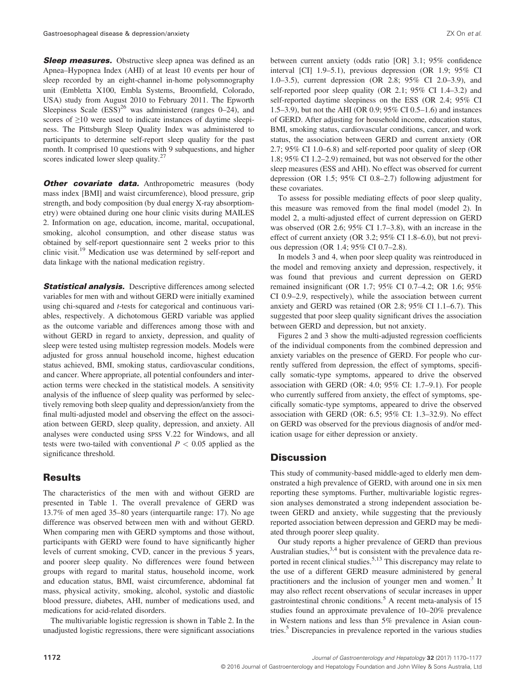**Sleep measures.** Obstructive sleep apnea was defined as an Apnea–Hypopnea Index (AHI) of at least 10 events per hour of sleep recorded by an eight-channel in-home polysomnography unit (Embletta X100, Embla Systems, Broomfield, Colorado, USA) study from August 2010 to February 2011. The Epworth Sleepiness Scale  $(ESS)^{26}$  was administered (ranges 0–24), and scores of ≥10 were used to indicate instances of daytime sleepiness. The Pittsburgh Sleep Quality Index was administered to participants to determine self-report sleep quality for the past month. It comprised 10 questions with 9 subquestions, and higher scores indicated lower sleep quality.<sup>27</sup>

Other covariate data. Anthropometric measures (body mass index [BMI] and waist circumference), blood pressure, grip strength, and body composition (by dual energy X-ray absorptiometry) were obtained during one hour clinic visits during MAILES 2. Information on age, education, income, marital, occupational, smoking, alcohol consumption, and other disease status was obtained by self-report questionnaire sent 2 weeks prior to this clinic visit.<sup>19</sup> Medication use was determined by self-report and data linkage with the national medication registry.

**Statistical analysis.** Descriptive differences among selected variables for men with and without GERD were initially examined using chi-squared and t-tests for categorical and continuous variables, respectively. A dichotomous GERD variable was applied as the outcome variable and differences among those with and without GERD in regard to anxiety, depression, and quality of sleep were tested using multistep regression models. Models were adjusted for gross annual household income, highest education status achieved, BMI, smoking status, cardiovascular conditions, and cancer. Where appropriate, all potential confounders and interaction terms were checked in the statistical models. A sensitivity analysis of the influence of sleep quality was performed by selectively removing both sleep quality and depression/anxiety from the final multi-adjusted model and observing the effect on the association between GERD, sleep quality, depression, and anxiety. All analyses were conducted using SPSS V.22 for Windows, and all tests were two-tailed with conventional  $P < 0.05$  applied as the significance threshold.

## Results

The characteristics of the men with and without GERD are presented in Table 1. The overall prevalence of GERD was 13.7% of men aged 35–80 years (interquartile range: 17). No age difference was observed between men with and without GERD. When comparing men with GERD symptoms and those without, participants with GERD were found to have significantly higher levels of current smoking, CVD, cancer in the previous 5 years, and poorer sleep quality. No differences were found between groups with regard to marital status, household income, work and education status, BMI, waist circumference, abdominal fat mass, physical activity, smoking, alcohol, systolic and diastolic blood pressure, diabetes, AHI, number of medications used, and medications for acid-related disorders.

The multivariable logistic regression is shown in Table 2. In the unadjusted logistic regressions, there were significant associations between current anxiety (odds ratio [OR] 3.1; 95% confidence interval [CI] 1.9–5.1), previous depression (OR 1.9; 95% CI 1.0–3.5), current depression (OR 2.8; 95% CI 2.0–3.9), and self-reported poor sleep quality (OR 2.1; 95% CI 1.4–3.2) and self-reported daytime sleepiness on the ESS (OR 2.4; 95% CI 1.5–3.9), but not the AHI (OR 0.9; 95% CI 0.5–1.6) and instances of GERD. After adjusting for household income, education status, BMI, smoking status, cardiovascular conditions, cancer, and work status, the association between GERD and current anxiety (OR 2.7; 95% CI 1.0–6.8) and self-reported poor quality of sleep (OR 1.8; 95% CI 1.2–2.9) remained, but was not observed for the other sleep measures (ESS and AHI). No effect was observed for current depression (OR 1.5; 95% CI 0.8–2.7) following adjustment for these covariates.

To assess for possible mediating effects of poor sleep quality, this measure was removed from the final model (model 2). In model 2, a multi-adjusted effect of current depression on GERD was observed (OR 2.6; 95% CI 1.7–3.8), with an increase in the effect of current anxiety (OR 3.2; 95% CI 1.8–6.0), but not previous depression (OR 1.4; 95% CI 0.7–2.8).

In models 3 and 4, when poor sleep quality was reintroduced in the model and removing anxiety and depression, respectively, it was found that previous and current depression on GERD remained insignificant (OR 1.7; 95% CI 0.7–4.2; OR 1.6; 95% CI 0.9–2.9, respectively), while the association between current anxiety and GERD was retained (OR 2.8; 95% CI 1.1–6.7). This suggested that poor sleep quality significant drives the association between GERD and depression, but not anxiety.

Figures 2 and 3 show the multi-adjusted regression coefficients of the individual components from the combined depression and anxiety variables on the presence of GERD. For people who currently suffered from depression, the effect of symptoms, specifically somatic-type symptoms, appeared to drive the observed association with GERD (OR: 4.0; 95% CI: 1.7–9.1). For people who currently suffered from anxiety, the effect of symptoms, specifically somatic-type symptoms, appeared to drive the observed association with GERD (OR: 6.5; 95% CI: 1.3–32.9). No effect on GERD was observed for the previous diagnosis of and/or medication usage for either depression or anxiety.

#### **Discussion**

This study of community-based middle-aged to elderly men demonstrated a high prevalence of GERD, with around one in six men reporting these symptoms. Further, multivariable logistic regression analyses demonstrated a strong independent association between GERD and anxiety, while suggesting that the previously reported association between depression and GERD may be mediated through poorer sleep quality.

Our study reports a higher prevalence of GERD than previous Australian studies,<sup>3,4</sup> but is consistent with the prevalence data reported in recent clinical studies.<sup>5,13</sup> This discrepancy may relate to the use of a different GERD measure administered by general practitioners and the inclusion of younger men and women.<sup>3</sup> It may also reflect recent observations of secular increases in upper gastrointestinal chronic conditions.<sup>5</sup> A recent meta-analysis of 15 studies found an approximate prevalence of 10–20% prevalence in Western nations and less than 5% prevalence in Asian countries.<sup>5</sup> Discrepancies in prevalence reported in the various studies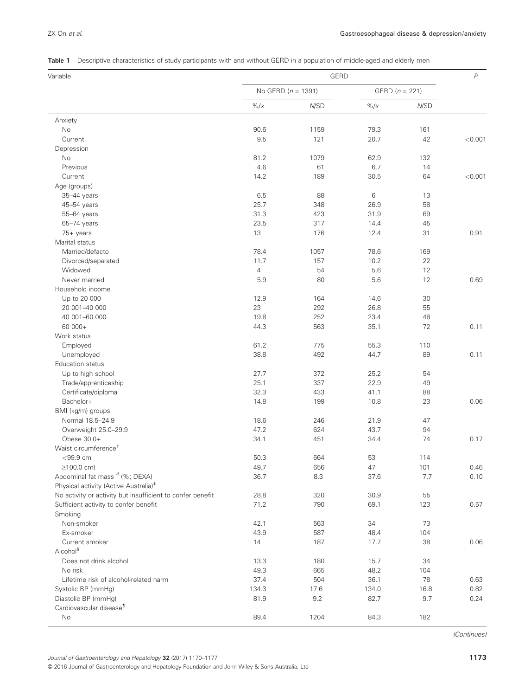|  |  |  |  |  | Table 1 Descriptive characteristics of study participants with and without GERD in a population of middle-aged and elderly men |
|--|--|--|--|--|--------------------------------------------------------------------------------------------------------------------------------|
|--|--|--|--|--|--------------------------------------------------------------------------------------------------------------------------------|

| Variable                                                      |                  | GERD                   |          |                  | $\,P$   |
|---------------------------------------------------------------|------------------|------------------------|----------|------------------|---------|
|                                                               |                  | No GERD ( $n = 1391$ ) |          | GERD $(n = 221)$ |         |
|                                                               | $\frac{9}{6}$ /x | N/SD                   | $\% / x$ | N/SD             |         |
| Anxiety                                                       |                  |                        |          |                  |         |
| No                                                            | 90.6             | 1159                   | 79.3     | 161              |         |
| Current                                                       | 9.5              | 121                    | 20.7     | 42               | < 0.001 |
| Depression                                                    |                  |                        |          |                  |         |
| No                                                            | 81.2             | 1079                   | 62.9     | 132              |         |
| Previous                                                      | 4.6              | 61                     | 6.7      | 14               |         |
| Current                                                       | 14.2             | 189                    | 30.5     | 64               | < 0.001 |
| Age (groups)                                                  |                  |                        |          |                  |         |
| 35-44 years                                                   | 6.5              | 88                     | 6        | 13               |         |
| 45-54 years                                                   | 25.7             | 348                    | 26.9     | 58               |         |
| 55-64 years                                                   | 31.3             | 423                    | 31.9     | 69               |         |
| 65-74 years                                                   | 23.5             | 317                    | 14.4     | 45               |         |
| 75+ years                                                     | 13               | 176                    | 12.4     | 31               | 0.91    |
| Marital status                                                |                  |                        |          |                  |         |
| Married/defacto                                               | 78.4             | 1057                   | 78.6     | 169              |         |
| Divorced/separated                                            | 11.7             | 157                    | 10.2     | 22               |         |
| Widowed                                                       | $\overline{4}$   | 54                     | 5.6      | 12               |         |
| Never married                                                 | 5.9              | 80                     | 5.6      | 12               | 0.69    |
| Household income                                              |                  |                        |          |                  |         |
| Up to 20 000                                                  | 12.9             | 164                    | 14.6     | 30               |         |
| 20 001-40 000                                                 | 23               | 292                    | 26.8     | 55               |         |
| 40 001-60 000                                                 | 19.8             | 252                    | 23.4     | 48               |         |
| 60 000+                                                       | 44.3             | 563                    | 35.1     | 72               | 0.11    |
| Work status                                                   |                  |                        |          |                  |         |
| Employed                                                      | 61.2             | 775                    | 55.3     | 110              |         |
| Unemployed                                                    | 38.8             | 492                    | 44.7     | 89               | 0.11    |
| Education status                                              |                  |                        |          |                  |         |
| Up to high school                                             | 27.7             | 372                    | 25.2     | 54               |         |
| Trade/apprenticeship                                          | 25.1             | 337                    | 22.9     | 49               |         |
| Certificate/diploma                                           | 32.3             | 433                    | 41.1     | 88               |         |
| Bachelor+                                                     | 14.8             | 199                    | 10.8     | 23               | 0.06    |
| BMI (kg/m) groups                                             |                  |                        |          |                  |         |
| Normal 18.5-24.9                                              | 18.6             | 246                    | 21.9     | 47               |         |
| Overweight 25.0-29.9                                          | 47.2             | 624                    | 43.7     | 94               |         |
| Obese 30.0+                                                   | 34.1             | 451                    | 34.4     | 74               | 0.17    |
| Waist circumference <sup>+</sup>                              |                  |                        |          |                  |         |
| $<$ 99.9 cm                                                   |                  |                        |          |                  |         |
|                                                               | 50.3             | 664                    | 53       | 114              |         |
| $\geq$ 100.0 cm)<br>Abdominal fat mass <sup>4</sup> (%; DEXA) | 49.7             | 656                    | 47       | 101              | 0.46    |
|                                                               | 36.7             | 8.3                    | 37.6     | 7.7              | 0.10    |
| Physical activity (Active Australia) <sup>‡</sup>             |                  |                        |          |                  |         |
| No activity or activity but insufficient to confer benefit    | 28.8             | 320                    | 30.9     | 55               |         |
| Sufficient activity to confer benefit                         | 71.2             | 790                    | 69.1     | 123              | 0.57    |
| Smoking                                                       |                  |                        |          |                  |         |
| Non-smoker                                                    | 42.1             | 563                    | 34       | 73               |         |
| Ex-smoker                                                     | 43.9             | 587                    | 48.4     | 104              |         |
| Current smoker                                                | 14               | 187                    | 17.7     | 38               | 0.06    |
| Alcohol <sup>§</sup>                                          |                  |                        |          |                  |         |
| Does not drink alcohol                                        | 13.3             | 180                    | 15.7     | 34               |         |
| No risk                                                       | 49.3             | 665                    | 48.2     | 104              |         |
| Lifetime risk of alcohol-related harm                         | 37.4             | 504                    | 36.1     | 78               | 0.63    |
| Systolic BP (mmHg)                                            | 134.3            | 17.6                   | 134.0    | 16.8             | 0.82    |
| Diastolic BP (mmHg)                                           | 81.9             | 9.2                    | 82.7     | 9.7              | 0.24    |
| Cardiovascular disease <sup>1</sup>                           |                  |                        |          |                  |         |
| No                                                            | 89.4             | 1204                   | 84.3     | 182              |         |

(Continues)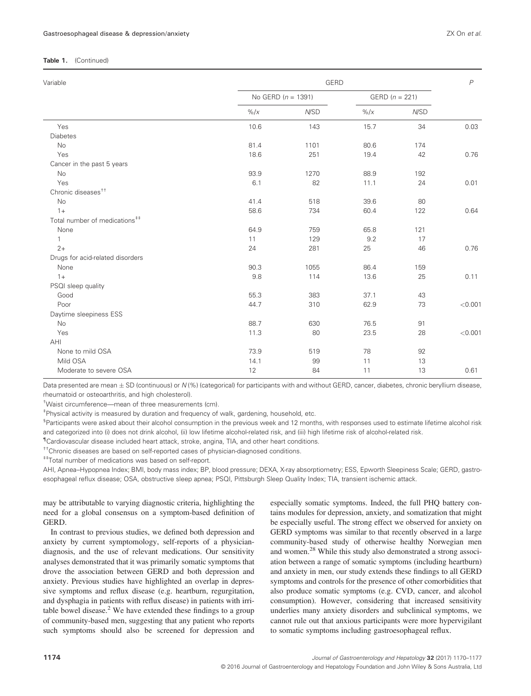#### Table 1. (Continued)

| Variable                                  |                  | GERD                   |                  |      | $\overline{P}$ |
|-------------------------------------------|------------------|------------------------|------------------|------|----------------|
|                                           |                  | No GERD ( $n = 1391$ ) | GERD $(n = 221)$ |      |                |
|                                           | $\frac{9}{6}$ /x | N/SD                   | $\frac{9}{6}$ /x | N/SD |                |
| Yes                                       | 10.6             | 143                    | 15.7             | 34   | 0.03           |
| <b>Diabetes</b>                           |                  |                        |                  |      |                |
| No                                        | 81.4             | 1101                   | 80.6             | 174  |                |
| Yes                                       | 18.6             | 251                    | 19.4             | 42   | 0.76           |
| Cancer in the past 5 years                |                  |                        |                  |      |                |
| No                                        | 93.9             | 1270                   | 88.9             | 192  |                |
| Yes                                       | 6.1              | 82                     | 11.1             | 24   | 0.01           |
| Chronic diseases <sup>++</sup>            |                  |                        |                  |      |                |
| No                                        | 41.4             | 518                    | 39.6             | 80   |                |
| $1+$                                      | 58.6             | 734                    | 60.4             | 122  | 0.64           |
| Total number of medications <sup>##</sup> |                  |                        |                  |      |                |
| None                                      | 64.9             | 759                    | 65.8             | 121  |                |
| 1                                         | 11               | 129                    | 9.2              | 17   |                |
| $2+$                                      | 24               | 281                    | 25               | 46   | 0.76           |
| Drugs for acid-related disorders          |                  |                        |                  |      |                |
| None                                      | 90.3             | 1055                   | 86.4             | 159  |                |
| $1+$                                      | 9.8              | 114                    | 13.6             | 25   | 0.11           |
| PSQI sleep quality                        |                  |                        |                  |      |                |
| Good                                      | 55.3             | 383                    | 37.1             | 43   |                |
| Poor                                      | 44.7             | 310                    | 62.9             | 73   | < 0.001        |
| Daytime sleepiness ESS                    |                  |                        |                  |      |                |
| <b>No</b>                                 | 88.7             | 630                    | 76.5             | 91   |                |
| Yes                                       | 11.3             | 80                     | 23.5             | 28   | < 0.001        |
| AHI                                       |                  |                        |                  |      |                |
| None to mild OSA                          | 73.9             | 519                    | 78               | 92   |                |
| Mild OSA                                  | 14.1             | 99                     | 11               | 13   |                |
| Moderate to severe OSA                    | 12               | 84                     | 11               | 13   | 0.61           |

Data presented are mean  $\pm$  SD (continuous) or N (%) (categorical) for participants with and without GERD, cancer, diabetes, chronic beryllium disease, rheumatoid or osteoarthritis, and high cholesterol).

† Waist circumference—mean of three measurements (cm).

‡ Physical activity is measured by duration and frequency of walk, gardening, household, etc.

<sup>§</sup>Participants were asked about their alcohol consumption in the previous week and 12 months, with responses used to estimate lifetime alcohol risk and categorized into (i) does not drink alcohol, (ii) low lifetime alcohol-related risk, and (iii) high lifetime risk of alcohol-related risk.

¶ Cardiovascular disease included heart attack, stroke, angina, TIA, and other heart conditions.

††Chronic diseases are based on self-reported cases of physician-diagnosed conditions.

‡‡Total number of medications was based on self-report.

AHI, Apnea–Hypopnea Index; BMI, body mass index; BP, blood pressure; DEXA, X-ray absorptiometry; ESS, Epworth Sleepiness Scale; GERD, gastroesophageal reflux disease; OSA, obstructive sleep apnea; PSQI, Pittsburgh Sleep Quality Index; TIA, transient ischemic attack.

may be attributable to varying diagnostic criteria, highlighting the need for a global consensus on a symptom-based definition of GERD.

In contrast to previous studies, we defined both depression and anxiety by current symptomology, self-reports of a physiciandiagnosis, and the use of relevant medications. Our sensitivity analyses demonstrated that it was primarily somatic symptoms that drove the association between GERD and both depression and anxiety. Previous studies have highlighted an overlap in depressive symptoms and reflux disease (e.g. heartburn, regurgitation, and dysphagia in patients with reflux disease) in patients with irritable bowel disease.<sup>2</sup> We have extended these findings to a group of community-based men, suggesting that any patient who reports such symptoms should also be screened for depression and

especially somatic symptoms. Indeed, the full PHQ battery contains modules for depression, anxiety, and somatization that might be especially useful. The strong effect we observed for anxiety on GERD symptoms was similar to that recently observed in a large community-based study of otherwise healthy Norwegian men and women.28 While this study also demonstrated a strong association between a range of somatic symptoms (including heartburn) and anxiety in men, our study extends these findings to all GERD symptoms and controls for the presence of other comorbidities that also produce somatic symptoms (e.g. CVD, cancer, and alcohol consumption). However, considering that increased sensitivity underlies many anxiety disorders and subclinical symptoms, we cannot rule out that anxious participants were more hypervigilant to somatic symptoms including gastroesophageal reflux.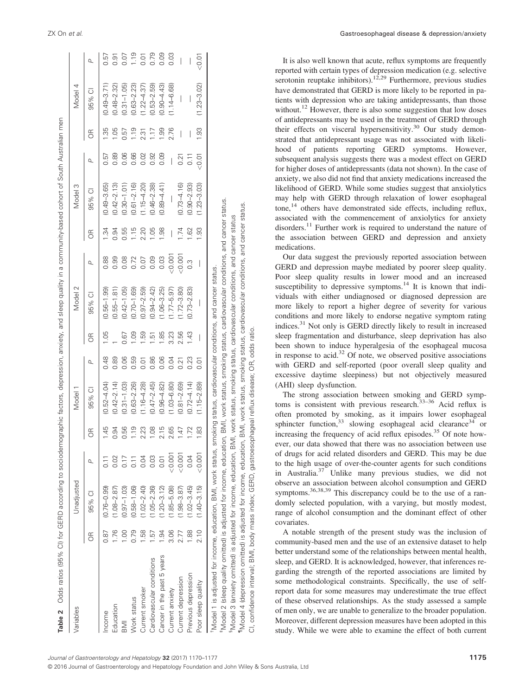| Variables                                                                                                                                           |               | Unadjusted      |         |       | <b>Model</b>    |                |                          | Model 2                                                                        |                          |            | Model 3         |                    |                          | 4<br>Model               |        |
|-----------------------------------------------------------------------------------------------------------------------------------------------------|---------------|-----------------|---------|-------|-----------------|----------------|--------------------------|--------------------------------------------------------------------------------|--------------------------|------------|-----------------|--------------------|--------------------------|--------------------------|--------|
|                                                                                                                                                     | БR            | 95% CI          | ρ       | 6R    | 95% CI          | $\overline{a}$ | E                        | 95% CI                                                                         | $\overline{a}$           | E          | 95% CI          | Q                  | H                        | 95% CI                   | ρ      |
| Income                                                                                                                                              | 0.87          | $(0.76 - 0.99)$ |         | $-45$ | $(0.52 - 4.04)$ | 0.48           | $-105$                   | $(0.56 - 1.99)$                                                                | 0.88                     | $\ddot{3}$ | $(0.49 - 3.65)$ | 0.57               | က္ပ                      | $(0.49 - 3.71)$          | 0.57   |
| Education                                                                                                                                           | 1.76          | $(1.08 - 2.87)$ | 0.02    | 0.94  | $(0.42 - 2.14)$ | 0.89           |                          | $(0.55 - 1.81)$                                                                | 0.99                     | 0.94       | $(0.42 - 2.13)$ | 0.89               | 105                      | $(0.48 - 2.32)$          | 0.91   |
| $\overline{\mathbb{R}}$                                                                                                                             | $\frac{8}{1}$ | $(0.97 - 1.03)$ | 0.17    | 0.56  | $(0.31 - 1.03)$ | 0.06           | 0.67                     | $(0.42 - 1.05)$                                                                | 0.08                     | 0.55       | $(0.30 - 1.01)$ | 0.06               | 0.57                     | $(0.31 - 1.05)$          | 0.07   |
| Work status                                                                                                                                         | 0.79          | $(0.58 - 1.06)$ |         | 1.19  | $(0.63 - 2.26)$ | 0.59           | 0.09                     | $(0.70 - 1.69)$                                                                | 0.72                     | 1.15       | $(0.61 - 2.16)$ | 0.66               | 1.19                     | $(0.63 - 2.23)$          | 1.19   |
| Current smoker                                                                                                                                      | $\frac{8}{3}$ | $(1.02 - 2.40)$ |         | 2.23  | $(1.16 - 4.28)$ | 이<br>이         | 1.59                     | $(0.97 - 2.59)$                                                                | 0.07                     | 2.20       | $(1.15 - 4.20)$ | 0.02               | 2.31                     | $(1.22 - 4.37)$          | 0.01   |
| Cardiovascular conditions                                                                                                                           | 57            | $(1.05 - 2.36)$ | 0.03    | 1.08  | $(0.47 - 2.45)$ | 0.86           | $\overline{51}$          | $(0.94 - 2.42)$                                                                | 0.09                     | 1.05       | $(0.46 - 2.38)$ | 0.92               | 1.17                     | $(0.53 - 2.59)$          | 0.79   |
| Cancer in the past 5 years                                                                                                                          | $\frac{1}{2}$ | $(1.20 - 3.12)$ | 0.01    | 2.15  | $(0.96 - 4.82)$ | 0.06           | 1.85                     | $(1.06 - 3.25)$                                                                | 0.03                     | 1,98       | $(0.89 - 4.41)$ | 0.09               | 1.99                     | $(0.90 - 4.43)$          | 0.09   |
| Current anxiety                                                                                                                                     | 3.06          | $(1.85 - 5.08)$ | < 0.001 | 2.65  | $(1.03 - 6.80)$ | 0.04           | 3.23                     | $(1.77 - 5.97)$                                                                | < 0.001                  |            | I               | I                  | 2.76                     | $(1.14 - 6.68)$          | 0.03   |
| Current depression                                                                                                                                  | 2.77          | $(1.98 - 3.87)$ | < 0.001 | 1.47  | $(0.81 - 2.69)$ | 0.21           | 2.56                     | $(1.72 - 3.80)$                                                                | < 0.001                  | 1.74       | $(0.73 - 4.16)$ | 0.21               | $\overline{\phantom{a}}$ |                          |        |
| Previous depression                                                                                                                                 | 1.88          | $(1.02 - 3.45)$ | 0.04    | 1.72  | $(0.72 - 4.14)$ | 0.23           | 1.43                     | $(0.73 - 2.83)$                                                                | $\frac{3}{2}$            | .62        | $(0.90 - 2.93)$ | $\overline{0}$ .11 | $\overline{\phantom{a}}$ | $\overline{\phantom{a}}$ |        |
| Poor sleep quality                                                                                                                                  | 2.10          | $(1.40 - 3.15)$ | < 0.001 | 1.83  | $(1.15 - 2.89)$ | 5<br>0.01      | $\overline{\phantom{a}}$ | $\overline{\phantom{a}}$                                                       | $\overline{\phantom{a}}$ | 8          | $(1.23 - 3.03)$ | < 0.01             | 1.93                     | $(1.23 - 3.02)$          | < 0.01 |
| "Model 1 is adjusted for income, education, BMI, work status,                                                                                       |               |                 |         |       |                 |                |                          | smoking status, cardiovascular conditions, and cancer status.                  |                          |            |                 |                    |                          |                          |        |
| *Model 2 (sleep quality omitted) is adjusted for income, education, BMI, work status, smoking status, cardiovascular conditions, and cancer status. |               |                 |         |       |                 |                |                          |                                                                                |                          |            |                 |                    |                          |                          |        |
| <sup>5</sup> Model 3 (anxiety omitted) is adjusted for income, education, I                                                                         |               |                 |         |       |                 |                |                          | BMI, work status, smoking status, cardiovascular conditions, and cancer status |                          |            |                 |                    |                          |                          |        |
| IModel 4 (depression omitted) is adjusted for income, education, BMI, work status, smoking status, cardiovascular conditions, and cancer status.    |               |                 |         |       |                 |                |                          |                                                                                |                          |            |                 |                    |                          |                          |        |

CI, confidence interval; BMI, body mass index; GERD, gastroesophageal reflux disease; OR, odds ratio.

GERD,

confidence interval; BMI, body mass index;

 $\overline{C}$ 

gastroesophageal reflux disease; OR, odds ratio.

It is also well known that acute, reflux symptoms are frequently reported with certain types of depression medication (e.g. selective serotonin reuptake inhibitors).<sup>12,29</sup> Furthermore, previous studies have demonstrated that GERD is more likely to be reported in patients with depression who are taking antidepressants, than those without.<sup>12</sup> However, there is also some suggestion that low doses of antidepressants may be used in the treatment of GERD through their effects on visceral hypersensitivity.<sup>30</sup> Our study demonstrated that antidepressant usage was not associated with likelihood of patients reporting GERD symptoms. However, subsequent analysis suggests there was a modest effect on GERD for higher doses of antidepressants (data not shown). In the case of anxiety, we also did not find that anxiety medications increased the likelihood of GERD. While some studies suggest that anxiolytics may help with GERD through relaxation of lower esophageal tone,<sup>14</sup> others have demonstrated side effects, including reflux, associated with the commencement of anxiolytics for anxiety disorders.<sup>11</sup> Further work is required to understand the nature of the association between GERD and depression and anxiety medications.

Our data suggest the previously reported association between GERD and depression maybe mediated by poorer sleep quality. Poor sleep quality results in lower mood and an increased susceptibility to depressive symptoms.<sup>14</sup> It is known that individuals with either undiagnosed or diagnosed depression are more likely to report a higher degree of severity for various conditions and more likely to endorse negative symptom rating indices.31 Not only is GERD directly likely to result in increased sleep fragmentation and disturbance, sleep deprivation has also been shown to induce hyperalgesia of the esophageal mucosa in response to acid. $32$  Of note, we observed positive associations with GERD and self-reported (poor overall sleep quality and excessive daytime sleepiness) but not objectively measured (AHI) sleep dysfunction.

The strong association between smoking and GERD symptoms is consistent with previous research.<sup>33-36</sup> Acid reflux is often promoted by smoking, as it impairs lower esophageal sphincter function,  $33$  slowing esophageal acid clearance  $34$  or increasing the frequency of acid reflux episodes.<sup>35</sup> Of note however, our data showed that there was no association between use of drugs for acid related disorders and GERD. This may be due to the high usage of over-the-counter agents for such conditions in Australia.<sup>37</sup> Unlike many previous studies, we did not observe an association between alcohol consumption and GERD symptoms.36,38,39 This discrepancy could be to the use of a randomly selected population, with a varying, but mostly modest, range of alcohol consumption and the dominant effect of other covariates.

A notable strength of the present study was the inclusion of community-based men and the use of an extensive dataset to help better understand some of the relationships between mental health, sleep, and GERD. It is acknowledged, however, that inferences regarding the strength of the reported associations are limited by some methodological constraints. Specifically, the use of selfreport data for some measures may underestimate the true effect of these observed relationships. As the study assessed a sample of men only, we are unable to generalize to the broader population. Moreover, different depression measures have been adopted in this study. While we were able to examine the effect of both current

 $\frac{1}{2}$ 

 $\sim$   $\sim$   $\sim$   $\sim$   $\sim$ 

 $10<sub>m</sub>$ 

ţ  $\frac{1}{2}$ 

t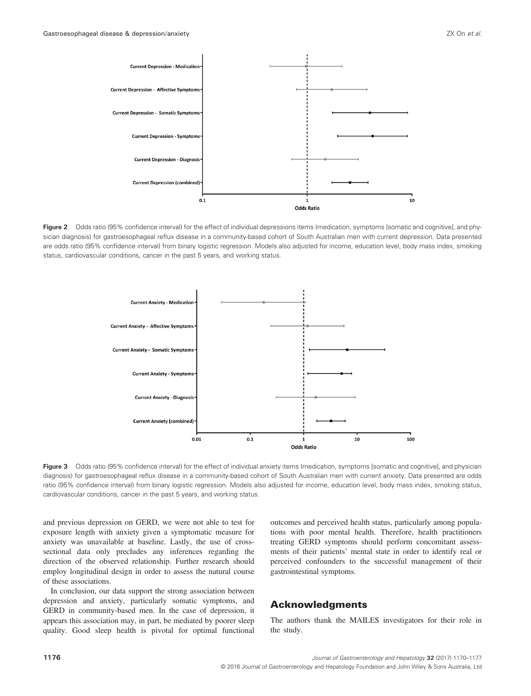

Figure 2 Odds ratio (95% confidence interval) for the effect of individual depressions items (medication, symptoms [somatic and cognitive], and physician diagnosis) for gastroesophageal reflux disease in a community-based cohort of South Australian men with current depression. Data presented are odds ratio (95% confidence interval) from binary logistic regression. Models also adjusted for income, education level, body mass index, smoking status, cardiovascular conditions, cancer in the past 5 years, and working status.



Figure 3 Odds ratio (95% confidence interval) for the effect of individual anxiety items (medication, symptoms [somatic and cognitive], and physician diagnosis) for gastroesophageal reflux disease in a community-based cohort of South Australian men with current anxiety. Data presented are odds ratio (95% confidence interval) from binary logistic regression. Models also adjusted for income, education level, body mass index, smoking status, cardiovascular conditions, cancer in the past 5 years, and working status.

and previous depression on GERD, we were not able to test for exposure length with anxiety given a symptomatic measure for anxiety was unavailable at baseline. Lastly, the use of crosssectional data only precludes any inferences regarding the direction of the observed relationship. Further research should employ longitudinal design in order to assess the natural course of these associations.

In conclusion, our data support the strong association between depression and anxiety, particularly somatic symptoms, and GERD in community-based men. In the case of depression, it appears this association may, in part, be mediated by poorer sleep quality. Good sleep health is pivotal for optimal functional

outcomes and perceived health status, particularly among populations with poor mental health. Therefore, health practitioners treating GERD symptoms should perform concomitant assessments of their patients' mental state in order to identify real or perceived confounders to the successful management of their gastrointestinal symptoms.

### Acknowledgments

The authors thank the MAILES investigators for their role in the study.